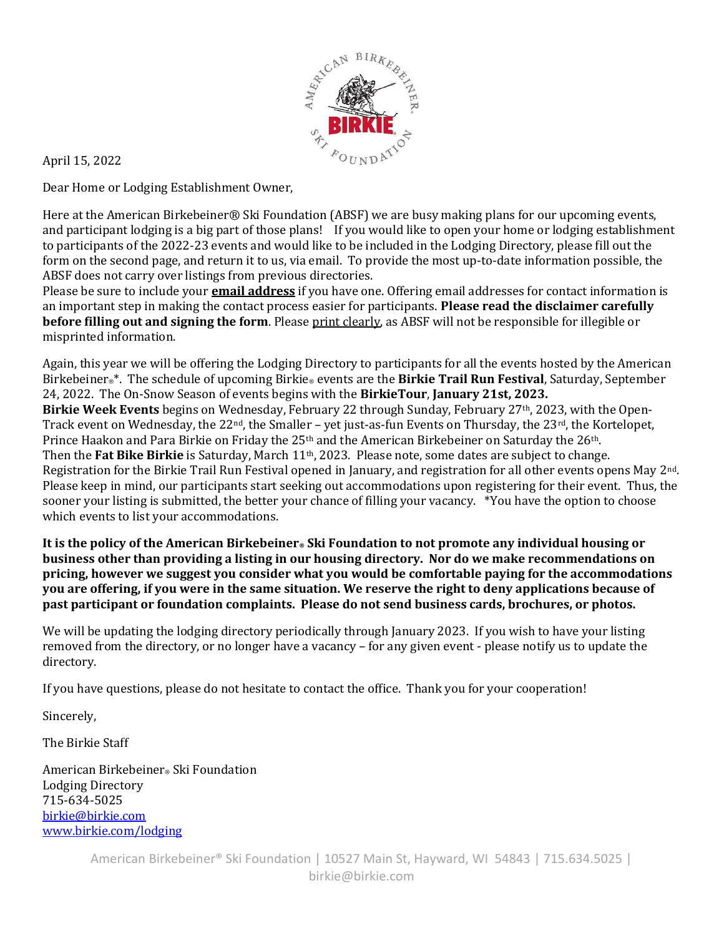

April 15, 2022

Dear Home or Lodging Establishment Owner,

Here at the American Birkebeiner® Ski Foundation (ABSF) we are busy making plans for our upcoming events, and participant lodging is a big part of those plans! If you would like to open your home or lodging establishment to participants of the 2022-23 events and would like to be included in the Lodging Directory, please fill out the form on the second page, and return it to us, via email. To provide the most up-to-date information possible, the ABSF does not carry over listings from previous directories.

Please be sure to include your **email address** if you have one. Offering email addresses for contact information is an important step in making the contact process easier for participants. Please read the disclaimer carefully **before filling out and signing the form**. Please print clearly, as ABSF will not be responsible for illegible or misprinted information.

Again, this year we will be offering the Lodging Directory to participants for all the events hosted by the American Birkebeiner<sup>®\*</sup>. The schedule of upcoming Birkie® events are the **Birkie Trail Run Festival**, Saturday, September 24, 2022. The On-Snow Season of events begins with the BirkieTour, January 21st, 2023. Birkie Week Events begins on Wednesday, February 22 through Sunday, February 27<sup>th</sup>, 2023, with the Open-Track event on Wednesday, the 22<sup>nd</sup>, the Smaller - yet just-as-fun Events on Thursday, the 23<sup>rd</sup>, the Kortelopet, Prince Haakon and Para Birkie on Friday the 25<sup>th</sup> and the American Birkebeiner on Saturday the 26<sup>th</sup>. Then the Fat Bike Birkie is Saturday, March 11<sup>th</sup>, 2023. Please note, some dates are subject to change. Registration for the Birkie Trail Run Festival opened in January, and registration for all other events opens May 2nd. Please keep in mind, our participants start seeking out accommodations upon registering for their event. Thus, the sooner your listing is submitted, the better your chance of filling your vacancy. \*You have the option to choose which events to list your accommodations.

It is the policy of the American Birkebeiner. Ski Foundation to not promote any individual housing or business other than providing a listing in our housing directory. Nor do we make recommendations on pricing, however we suggest you consider what you would be comfortable paying for the accommodations you are offering, if you were in the same situation. We reserve the right to deny applications because of past participant or foundation complaints. Please do not send business cards, brochures, or photos.

We will be updating the lodging directory periodically through January 2023. If you wish to have your listing removed from the directory, or no longer have a vacancy – for any given event - please notify us to update the directory.

If you have questions, please do not hesitate to contact the office. Thank you for your cooperation!

Sincerely,

The Birkie Staff

American Birkebeiner® Ski Foundation Lodging Directory 715-634-5025 birkie@birkie.com www.birkie.com/lodging